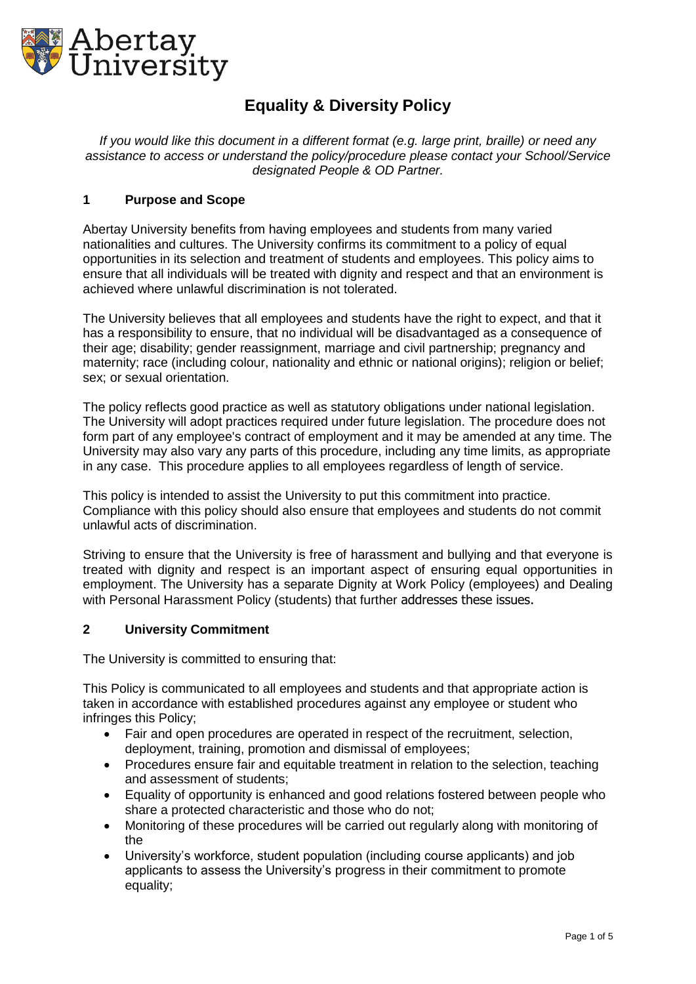

# **Equality & Diversity Policy**

*If you would like this document in a different format (e.g. large print, braille) or need any assistance to access or understand the policy/procedure please contact your School/Service designated People & OD Partner.*

#### **1 Purpose and Scope**

Abertay University benefits from having employees and students from many varied nationalities and cultures. The University confirms its commitment to a policy of equal opportunities in its selection and treatment of students and employees. This policy aims to ensure that all individuals will be treated with dignity and respect and that an environment is achieved where unlawful discrimination is not tolerated.

The University believes that all employees and students have the right to expect, and that it has a responsibility to ensure, that no individual will be disadvantaged as a consequence of their age; disability; gender reassignment, marriage and civil partnership; pregnancy and maternity; race (including colour, nationality and ethnic or national origins); religion or belief; sex; or sexual orientation.

The policy reflects good practice as well as statutory obligations under national legislation. The University will adopt practices required under future legislation. The procedure does not form part of any employee's contract of employment and it may be amended at any time. The University may also vary any parts of this procedure, including any time limits, as appropriate in any case. This procedure applies to all employees regardless of length of service.

This policy is intended to assist the University to put this commitment into practice. Compliance with this policy should also ensure that employees and students do not commit unlawful acts of discrimination.

Striving to ensure that the University is free of harassment and bullying and that everyone is treated with dignity and respect is an important aspect of ensuring equal opportunities in employment. The University has a separate Dignity at Work Policy (employees) and Dealing with Personal Harassment Policy (students) that further addresses these issues.

#### **2 University Commitment**

The University is committed to ensuring that:

This Policy is communicated to all employees and students and that appropriate action is taken in accordance with established procedures against any employee or student who infringes this Policy;

- Fair and open procedures are operated in respect of the recruitment, selection, deployment, training, promotion and dismissal of employees;
- Procedures ensure fair and equitable treatment in relation to the selection, teaching and assessment of students;
- Equality of opportunity is enhanced and good relations fostered between people who share a protected characteristic and those who do not;
- Monitoring of these procedures will be carried out regularly along with monitoring of the
- University's workforce, student population (including course applicants) and job applicants to assess the University's progress in their commitment to promote equality;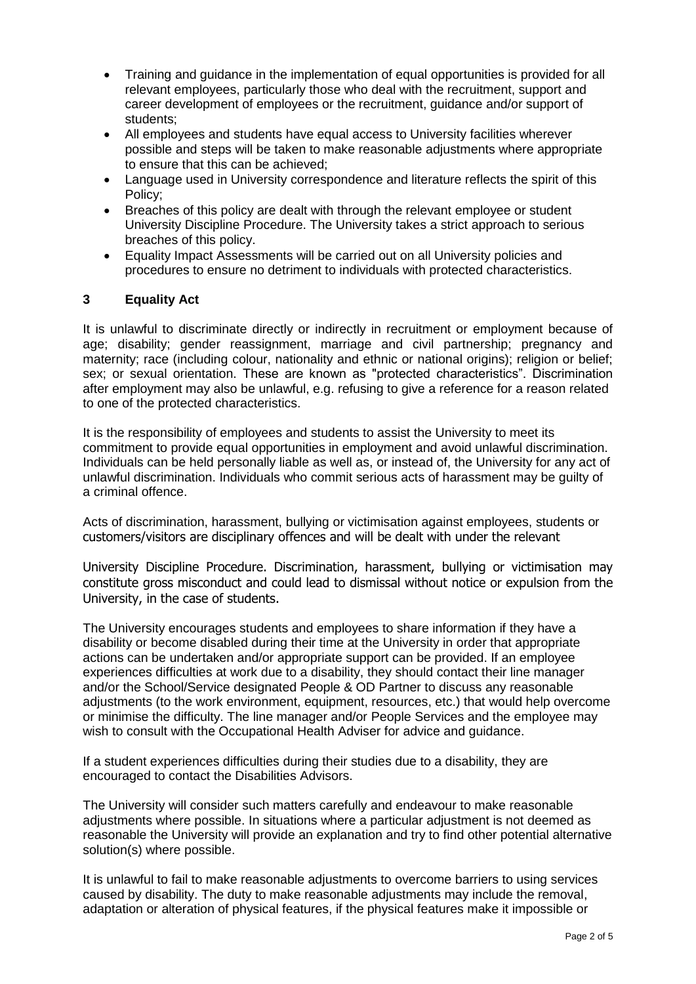- Training and guidance in the implementation of equal opportunities is provided for all relevant employees, particularly those who deal with the recruitment, support and career development of employees or the recruitment, guidance and/or support of students;
- All employees and students have equal access to University facilities wherever possible and steps will be taken to make reasonable adjustments where appropriate to ensure that this can be achieved;
- Language used in University correspondence and literature reflects the spirit of this Policy;
- Breaches of this policy are dealt with through the relevant employee or student University Discipline Procedure. The University takes a strict approach to serious breaches of this policy.
- Equality Impact Assessments will be carried out on all University policies and procedures to ensure no detriment to individuals with protected characteristics.

#### **3 Equality Act**

It is unlawful to discriminate directly or indirectly in recruitment or employment because of age; disability; gender reassignment, marriage and civil partnership; pregnancy and maternity; race (including colour, nationality and ethnic or national origins); religion or belief; sex; or sexual orientation. These are known as "protected characteristics". Discrimination after employment may also be unlawful, e.g. refusing to give a reference for a reason related to one of the protected characteristics.

It is the responsibility of employees and students to assist the University to meet its commitment to provide equal opportunities in employment and avoid unlawful discrimination. Individuals can be held personally liable as well as, or instead of, the University for any act of unlawful discrimination. Individuals who commit serious acts of harassment may be guilty of a criminal offence.

Acts of discrimination, harassment, bullying or victimisation against employees, students or customers/visitors are disciplinary offences and will be dealt with under the relevant

University Discipline Procedure. Discrimination, harassment, bullying or victimisation may constitute gross misconduct and could lead to dismissal without notice or expulsion from the University, in the case of students.

The University encourages students and employees to share information if they have a disability or become disabled during their time at the University in order that appropriate actions can be undertaken and/or appropriate support can be provided. If an employee experiences difficulties at work due to a disability, they should contact their line manager and/or the School/Service designated People & OD Partner to discuss any reasonable adjustments (to the work environment, equipment, resources, etc.) that would help overcome or minimise the difficulty. The line manager and/or People Services and the employee may wish to consult with the Occupational Health Adviser for advice and guidance.

If a student experiences difficulties during their studies due to a disability, they are encouraged to contact the Disabilities Advisors.

The University will consider such matters carefully and endeavour to make reasonable adjustments where possible. In situations where a particular adjustment is not deemed as reasonable the University will provide an explanation and try to find other potential alternative solution(s) where possible.

It is unlawful to fail to make reasonable adjustments to overcome barriers to using services caused by disability. The duty to make reasonable adjustments may include the removal, adaptation or alteration of physical features, if the physical features make it impossible or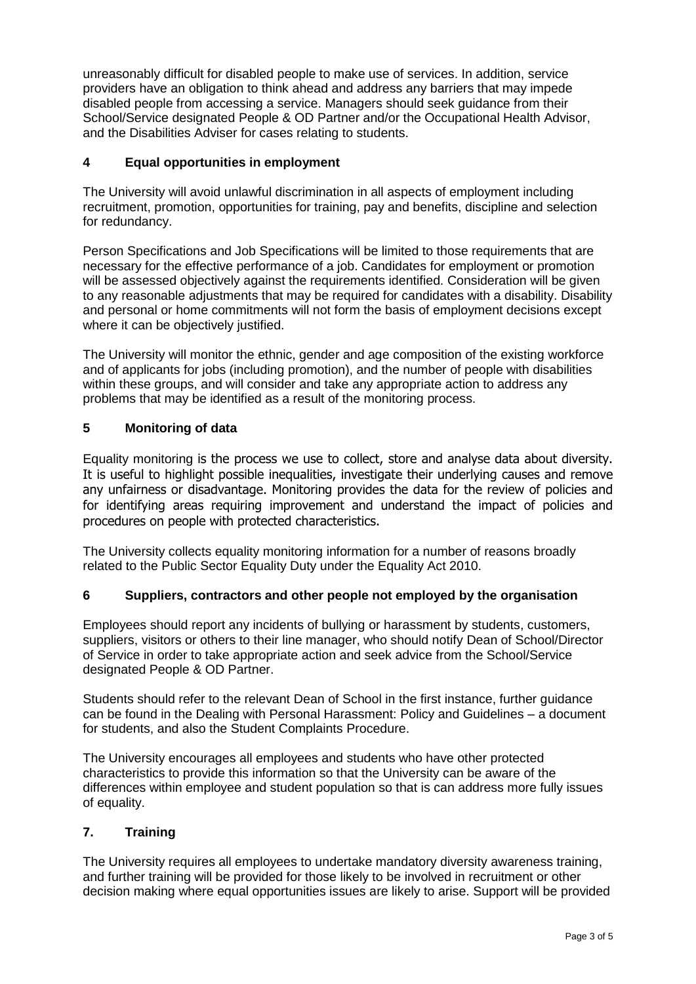unreasonably difficult for disabled people to make use of services. In addition, service providers have an obligation to think ahead and address any barriers that may impede disabled people from accessing a service. Managers should seek guidance from their School/Service designated People & OD Partner and/or the Occupational Health Advisor, and the Disabilities Adviser for cases relating to students.

#### **4 Equal opportunities in employment**

The University will avoid unlawful discrimination in all aspects of employment including recruitment, promotion, opportunities for training, pay and benefits, discipline and selection for redundancy.

Person Specifications and Job Specifications will be limited to those requirements that are necessary for the effective performance of a job. Candidates for employment or promotion will be assessed objectively against the requirements identified. Consideration will be given to any reasonable adjustments that may be required for candidates with a disability. Disability and personal or home commitments will not form the basis of employment decisions except where it can be objectively justified.

The University will monitor the ethnic, gender and age composition of the existing workforce and of applicants for jobs (including promotion), and the number of people with disabilities within these groups, and will consider and take any appropriate action to address any problems that may be identified as a result of the monitoring process.

#### **5 Monitoring of data**

Equality monitoring is the process we use to collect, store and analyse data about diversity. It is useful to highlight possible inequalities, investigate their underlying causes and remove any unfairness or disadvantage. Monitoring provides the data for the review of policies and for identifying areas requiring improvement and understand the impact of policies and procedures on people with protected characteristics.

The University collects equality monitoring information for a number of reasons broadly related to the Public Sector Equality Duty under the Equality Act 2010.

#### **6 Suppliers, contractors and other people not employed by the organisation**

Employees should report any incidents of bullying or harassment by students, customers, suppliers, visitors or others to their line manager, who should notify Dean of School/Director of Service in order to take appropriate action and seek advice from the School/Service designated People & OD Partner.

Students should refer to the relevant Dean of School in the first instance, further guidance can be found in the Dealing with Personal Harassment: Policy and Guidelines – a document for students, and also the Student Complaints Procedure.

The University encourages all employees and students who have other protected characteristics to provide this information so that the University can be aware of the differences within employee and student population so that is can address more fully issues of equality.

#### **7. Training**

The University requires all employees to undertake mandatory diversity awareness training, and further training will be provided for those likely to be involved in recruitment or other decision making where equal opportunities issues are likely to arise. Support will be provided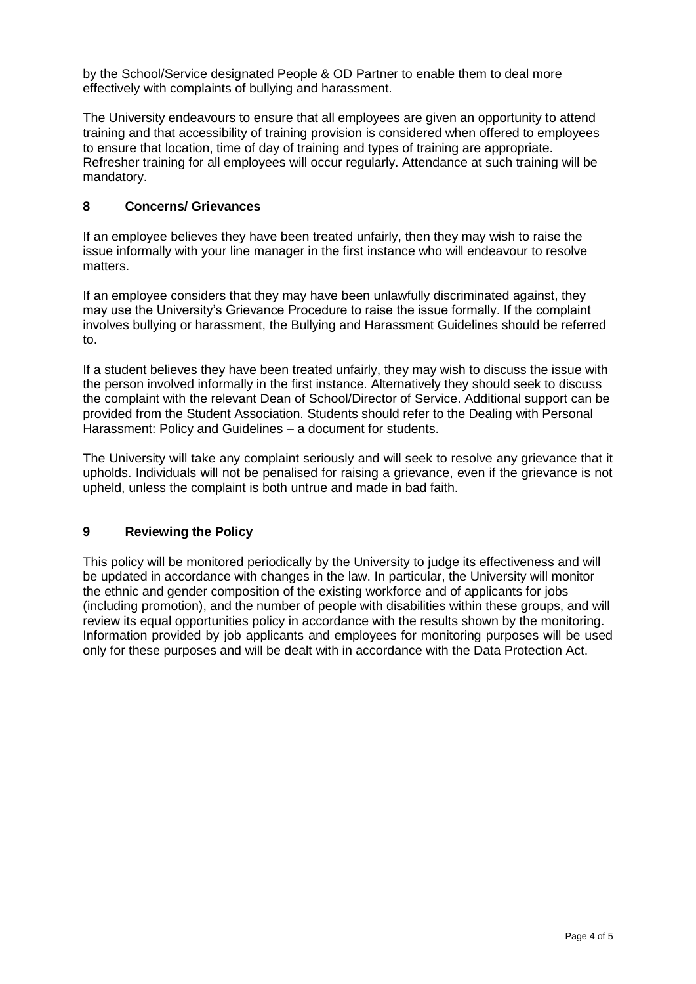by the School/Service designated People & OD Partner to enable them to deal more effectively with complaints of bullying and harassment.

The University endeavours to ensure that all employees are given an opportunity to attend training and that accessibility of training provision is considered when offered to employees to ensure that location, time of day of training and types of training are appropriate. Refresher training for all employees will occur regularly. Attendance at such training will be mandatory.

#### **8 Concerns/ Grievances**

If an employee believes they have been treated unfairly, then they may wish to raise the issue informally with your line manager in the first instance who will endeavour to resolve matters.

If an employee considers that they may have been unlawfully discriminated against, they may use the University's Grievance Procedure to raise the issue formally. If the complaint involves bullying or harassment, the Bullying and Harassment Guidelines should be referred to.

If a student believes they have been treated unfairly, they may wish to discuss the issue with the person involved informally in the first instance. Alternatively they should seek to discuss the complaint with the relevant Dean of School/Director of Service. Additional support can be provided from the Student Association. Students should refer to the Dealing with Personal Harassment: Policy and Guidelines – a document for students.

The University will take any complaint seriously and will seek to resolve any grievance that it upholds. Individuals will not be penalised for raising a grievance, even if the grievance is not upheld, unless the complaint is both untrue and made in bad faith.

#### **9 Reviewing the Policy**

This policy will be monitored periodically by the University to judge its effectiveness and will be updated in accordance with changes in the law. In particular, the University will monitor the ethnic and gender composition of the existing workforce and of applicants for jobs (including promotion), and the number of people with disabilities within these groups, and will review its equal opportunities policy in accordance with the results shown by the monitoring. Information provided by job applicants and employees for monitoring purposes will be used only for these purposes and will be dealt with in accordance with the Data Protection Act.